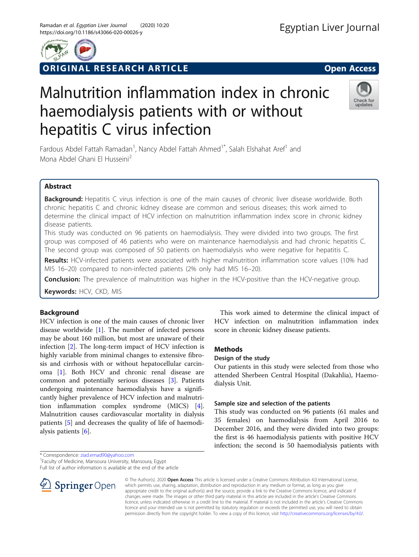

ORIGINAL RESEARCH ARTICLE **Solution Contract Contract Contract Contract Contract Contract Contract Contract Contract Contract Contract Contract Contract Contract Contract Contract Contract Contract Contract Contract Contra** 



# Malnutrition inflammation index in chronic haemodialysis patients with or without hepatitis C virus infection



Fardous Abdel Fattah Ramadan<sup>1</sup>, Nancy Abdel Fattah Ahmed<sup>1\*</sup>, Salah Elshahat Aref<sup>1</sup> and Mona Abdel Ghani El Husseini2

# Abstract

Background: Hepatitis C virus infection is one of the main causes of chronic liver disease worldwide. Both chronic hepatitis C and chronic kidney disease are common and serious diseases; this work aimed to determine the clinical impact of HCV infection on malnutrition inflammation index score in chronic kidney disease patients.

This study was conducted on 96 patients on haemodialysis. They were divided into two groups. The first group was composed of 46 patients who were on maintenance haemodialysis and had chronic hepatitis C. The second group was composed of 50 patients on haemodialysis who were negative for hepatitis C.

Results: HCV-infected patients were associated with higher malnutrition inflammation score values (10% had MIS 16–20) compared to non-infected patients (2% only had MIS 16–20).

**Conclusion:** The prevalence of malnutrition was higher in the HCV-positive than the HCV-negative group.

Keywords: HCV, CKD, MIS

# Background

HCV infection is one of the main causes of chronic liver disease worldwide [\[1](#page-4-0)]. The number of infected persons may be about 160 million, but most are unaware of their infection [\[2](#page-4-0)]. The long-term impact of HCV infection is highly variable from minimal changes to extensive fibrosis and cirrhosis with or without hepatocellular carcinoma [\[1](#page-4-0)]. Both HCV and chronic renal disease are common and potentially serious diseases [\[3](#page-4-0)]. Patients undergoing maintenance haemodialysis have a significantly higher prevalence of HCV infection and malnutrition inflammation complex syndrome (MICS) [\[4](#page-4-0)]. Malnutrition causes cardiovascular mortality in dialysis patients [\[5](#page-4-0)] and decreases the quality of life of haemodialysis patients [\[6](#page-4-0)].

\* Correspondence: [ziad.emad90@yahoo.com](mailto:ziad.emad90@yahoo.com) <sup>1</sup>

Full list of author information is available at the end of the article



This work aimed to determine the clinical impact of HCV infection on malnutrition inflammation index score in chronic kidney disease patients.

# **Methods**

# Design of the study

Our patients in this study were selected from those who attended Sherbeen Central Hospital (Dakahlia), Haemodialysis Unit.

# Sample size and selection of the patients

This study was conducted on 96 patients (61 males and 35 females) on haemodialysis from April 2016 to December 2016, and they were divided into two groups: the first is 46 haemodialysis patients with positive HCV infection; the second is 50 haemodialysis patients with

© The Author(s). 2020 Open Access This article is licensed under a Creative Commons Attribution 4.0 International License, which permits use, sharing, adaptation, distribution and reproduction in any medium or format, as long as you give appropriate credit to the original author(s) and the source, provide a link to the Creative Commons licence, and indicate if changes were made. The images or other third party material in this article are included in the article's Creative Commons licence, unless indicated otherwise in a credit line to the material. If material is not included in the article's Creative Commons licence and your intended use is not permitted by statutory regulation or exceeds the permitted use, you will need to obtain permission directly from the copyright holder. To view a copy of this licence, visit <http://creativecommons.org/licenses/by/4.0/>.

Faculty of Medicine, Mansoura University, Mansoura, Egypt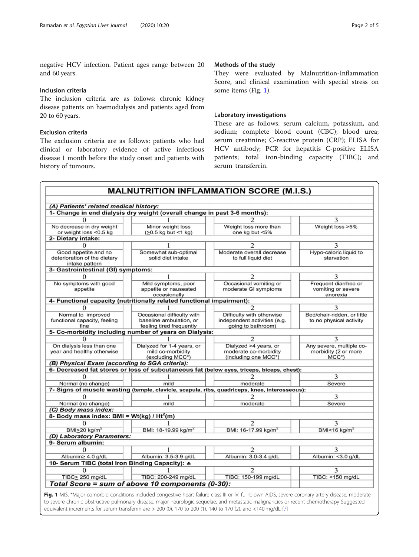negative HCV infection. Patient ages range between 20 and 60 years.

## Inclusion criteria

The inclusion criteria are as follows: chronic kidney disease patients on haemodialysis and patients aged from 20 to 60 years.

## Exclusion criteria

The exclusion criteria are as follows: patients who had clinical or laboratory evidence of active infectious disease 1 month before the study onset and patients with history of tumours.

## Methods of the study

They were evaluated by Malnutrition-Inflammation Score, and clinical examination with special stress on some items (Fig. 1).

## Laboratory investigations

These are as follows: serum calcium, potassium, and sodium; complete blood count (CBC); blood urea; serum creatinine; C-reactive protein (CRP); ELISA for HCV antibody; PCR for hepatitis C-positive ELISA patients; total iron-binding capacity (TIBC); and serum transferrin.

| (A) Patients' related medical history:                                 |                                                                                   |                                                                                               |                                                                   |
|------------------------------------------------------------------------|-----------------------------------------------------------------------------------|-----------------------------------------------------------------------------------------------|-------------------------------------------------------------------|
|                                                                        | 1- Change in end dialysis dry weight (overall change in past 3-6 months):         |                                                                                               |                                                                   |
| $\Omega$                                                               |                                                                                   |                                                                                               | 3                                                                 |
| No decrease in dry weight<br>or weight loss <0.5 kg                    | Minor weight loss<br>$(20.5 \text{ kg} \text{ but } 1 \text{ kg})$                | Weight loss more than<br>one kg but <5%                                                       | Weight loss >5%                                                   |
| 2- Dietary intake:                                                     |                                                                                   |                                                                                               |                                                                   |
| $\Omega$                                                               |                                                                                   | 2                                                                                             | 3                                                                 |
| Good appetite and no<br>deterioration of the dietary<br>intake pattern | Somewhat sub-optimal<br>solid diet intake                                         | Moderate overall decrease<br>to full liquid diet                                              | Hypo-caloric liquid to<br>starvation                              |
| 3- Gastrointestinal (GI) symptoms:                                     |                                                                                   |                                                                                               |                                                                   |
|                                                                        |                                                                                   | 2                                                                                             | 3                                                                 |
| No symptoms with good<br>appetite                                      | Mild symptoms, poor<br>appetite or nauseated<br>occasionally                      | Occasional vomiting or<br>moderate GI symptoms                                                | Frequent diarrhea or<br>vomiting or severe<br>anorexia            |
|                                                                        | 4- Functional capacity (nutritionally related functional impairment):             |                                                                                               |                                                                   |
| 0                                                                      |                                                                                   | $\mathcal{D}$                                                                                 | 3                                                                 |
| Normal to improved<br>functional capacity, feeling<br>fine             | Occasional difficulty with<br>baseline ambulation, or<br>feeling tired frequently | Difficulty with otherwise<br>independent activities (e.g.<br>going to bathroom)               | Bed/chair-ridden, or little<br>to no physical activity            |
|                                                                        | 5- Co-morbidity including number of years on Dialysis:                            |                                                                                               |                                                                   |
| $\Omega$                                                               |                                                                                   | $\overline{c}$                                                                                | 3                                                                 |
| On dialysis less than one<br>year and healthy otherwise                | Dialyzed for 1-4 years, or<br>mild co-morbidity<br>(excluding MCC*)               | Dialyzed >4 years, or<br>moderate co-morbidity<br>(including one MCC*)                        | Any severe, multiple co-<br>morbidity (2 or more<br>$MCC^{\star}$ |
| (B) Physical Exam (according to SGA criteria):                         |                                                                                   |                                                                                               |                                                                   |
|                                                                        |                                                                                   | 6- Decreased fat stores or loss of subcutaneous fat (below eyes, triceps, biceps, chest):     |                                                                   |
| $\Omega$                                                               |                                                                                   |                                                                                               | 3                                                                 |
| Normal (no change)                                                     | mild                                                                              | moderate                                                                                      | Severe                                                            |
|                                                                        |                                                                                   | 7- Signs of muscle wasting (temple, clavicle, scapula, ribs, quadriceps, knee, interosseous): |                                                                   |
| 0                                                                      |                                                                                   | 2                                                                                             | 3                                                                 |
| Normal (no change)                                                     | mild                                                                              | moderate                                                                                      | Severe                                                            |
| (C) Body mass index:                                                   |                                                                                   |                                                                                               |                                                                   |
| 8- Body mass index: BMI = Wt(kg) / Ht <sup>2</sup> (m)                 |                                                                                   |                                                                                               |                                                                   |
| $\Omega$                                                               |                                                                                   | $\mathfrak{D}$                                                                                | 3                                                                 |
| BMI $\geq$ 20 kg/m <sup>2</sup>                                        | BMI: 18-19.99 kg/m <sup>2</sup>                                                   | BMI: 16-17.99 kg/m <sup>2</sup>                                                               | BMI<16 kg/m <sup>2</sup>                                          |
| (D) Laboratory Parameters:<br>9- Serum albumin:                        |                                                                                   |                                                                                               |                                                                   |
|                                                                        |                                                                                   |                                                                                               |                                                                   |
| 0                                                                      | 1                                                                                 | $\overline{2}$                                                                                | 3                                                                 |
| Albumin> 4.0 g/dL                                                      | Albumin: 3.5-3.9 g/dL                                                             | Albumin: 3.0-3.4 g/dL                                                                         | Albumin: <3.0 g/dL                                                |
| 10- Serum TIBC (total Iron Binding Capacity): 4                        |                                                                                   |                                                                                               |                                                                   |
| $\Omega$                                                               |                                                                                   | 2                                                                                             | 3                                                                 |
| TIBC> 250 mg/dL                                                        | TIBC: 200-249 mg/dL                                                               | TIBC: 150-199 mg/dL                                                                           | TIBC: <150 mg/dL                                                  |
|                                                                        | Total Score = sum of above 10 components (0-30):                                  |                                                                                               |                                                                   |

equivalent increments for serum transferrin are  $> 200$  (0), 1[7](#page-4-0)0 to 200 (1), 140 to 170 (2), and <140 mg/dL [7]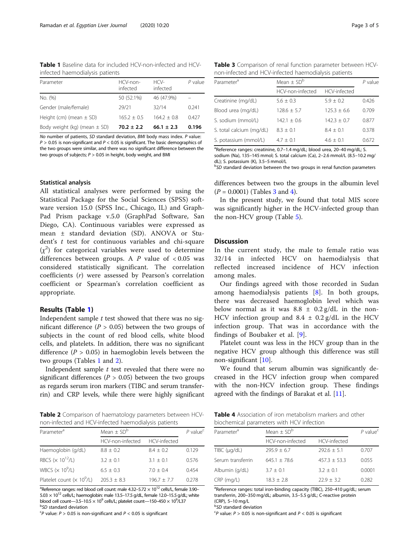Table 1 Baseline data for included HCV-non-infected and HCVinfected haemodialysis patients

| Parameter                        | HCV-non-<br>infected | $HCV -$<br>infected | $P$ value |
|----------------------------------|----------------------|---------------------|-----------|
| No. (%)                          | 50 (52.1%)           | 46 (47.9%)          |           |
| Gender (male/female)             | 29/21                | 32/14               | 0.241     |
| Height (cm) (mean $\pm$ SD)      | $165.2 + 0.5$        | $1642 + 08$         | 0.427     |
| Body weight (kg) (mean $\pm$ SD) | $70.2 \pm 2.2$       | $66.1 \pm 2.3$      | 0.196     |

No number of patients, SD standard deviation, BMI body mass index. P value:  $P > 0.05$  is non-significant and  $P < 0.05$  is significant. The basic demographics of the two groups were similar, and there was no significant difference between the two groups of subjects;  $P > 0.05$  in height, body weight, and BMI

#### Statistical analysis

All statistical analyses were performed by using the Statistical Package for the Social Sciences (SPSS) software version 15.0 (SPSS Inc., Chicago, IL) and Graph-Pad Prism package v.5.0 (GraphPad Software, San Diego, CA). Continuous variables were expressed as mean ± standard deviation (SD). ANOVA or Student's  $t$  test for continuous variables and chi-square  $(\chi^2)$  for categorical variables were used to determine differences between groups. A  $P$  value of  $< 0.05$  was considered statistically significant. The correlation coefficients (r) were assessed by Pearson's correlation coefficient or Spearman's correlation coefficient as appropriate.

#### Results (Table 1)

Independent sample  $t$  test showed that there was no significant difference ( $P > 0.05$ ) between the two groups of subjects in the count of red blood cells, white blood cells, and platelets. In addition, there was no significant difference ( $P > 0.05$ ) in haemoglobin levels between the two groups (Tables 1 and 2).

Independent sample  $t$  test revealed that there were no significant differences ( $P > 0.05$ ) between the two groups as regards serum iron markers (TIBC and serum transferrin) and CRP levels, while there were highly significant

Table 2 Comparison of haematology parameters between HCVnon-infected and HCV-infected haemodialysis patients

| Parameter <sup>a</sup>               | Mean $\pm$ SD <sup>b</sup> | $P$ value <sup>c</sup> |       |
|--------------------------------------|----------------------------|------------------------|-------|
|                                      | HCV-non-infected           | HCV-infected           |       |
| Haemoglobin (g/dL)                   | $8.8 + 0.2$                | $8.4 + 0.2$            | 0.129 |
| RBCS ( $\times$ 10 <sup>12</sup> /L) | $3.2 + 0.1$                | $3.1 + 0.1$            | 0.576 |
| WBCS $(x 10^9/L)$                    | $6.5 + 0.3$                | $7.0 + 0.4$            | 0.454 |
| Platelet count $(x 10^9/L)$          | $205.3 + 8.3$              | $196.7 + 7.7$          | 0.278 |
|                                      |                            |                        |       |

<sup>a</sup>Reference ranges: red blood cell count: male 4.32–5.72  $\times$  10<sup>12</sup> cells/L, female 3.90–  $5.03 \times 10^{12}$  cells/L; haemoglobin: male 13.5-17.5 g/dL, female 12.0-15.5 g/dL; white blood cell count—3.5–10.5  $\times$  10<sup>9</sup> cells/L; platelet count—150–450  $\times$  10<sup>9</sup>/L37<br><sup>b</sup>SD standard doviation <sup>b</sup>SD standard deviation

 ${}^cP$  value:  $P > 0.05$  is non-significant and  $P < 0.05$  is significant

Table 3 Comparison of renal function parameter between HCVnon-infected and HCV-infected haemodialysis patients

| Parameter <sup>a</sup>   | Mean $\pm$ SD <sup>b</sup> | P value       |       |  |
|--------------------------|----------------------------|---------------|-------|--|
|                          | HCV-non-infected           | HCV-infected  |       |  |
| Creatinine (mg/dL)       | $5.6 \pm 0.3$              | $5.9 + 0.2$   | 0.426 |  |
| Blood urea (mg/dL)       | $128.6 \pm 5.7$            | $125.3 + 6.6$ | 0.709 |  |
| S. sodium (mmol/L)       | $142.1 + 0.6$              | $142.3 + 0.7$ | 0.877 |  |
| S. total calcium (mg/dL) | $8.3 + 0.1$                | $8.4 + 0.1$   | 0.378 |  |
| S. potassium (mmol/L)    | $4.7 + 0.1$                | $4.6 + 0.1$   | 0.672 |  |

<sup>a</sup>Reference ranges: creatinine, 0.7-1.4 mg/dL; blood urea, 20-40 mg/dL; S. sodium (Na), 135–145 mmol; S. total calcium (Ca), 2–2.6 mmol/L (8.5–10.2 mg/ dL); S. potassium (K), 3.5–5 mmol/L <sup>b</sup>

 $^{b}$ SD standard deviation between the two groups in renal function parameters

differences between two the groups in the albumin level  $(P = 0.0001)$  (Tables 3 and 4).

In the present study, we found that total MIS score was significantly higher in the HCV-infected group than the non-HCV group (Table [5\)](#page-3-0).

## **Discussion**

In the current study, the male to female ratio was 32/14 in infected HCV on haemodialysis that reflected increased incidence of HCV infection among males.

Our findings agreed with those recorded in Sudan among haemodialysis patients [\[8](#page-4-0)]. In both groups, there was decreased haemoglobin level which was below normal as it was  $8.8 \pm 0.2$  g/dL in the non-HCV infection group and  $8.4 \pm 0.2$  g/dL in the HCV infection group. That was in accordance with the findings of Boubaker et al. [[9\]](#page-4-0).

Platelet count was less in the HCV group than in the negative HCV group although this difference was still non-significant [\[10\]](#page-4-0).

We found that serum albumin was significantly decreased in the HCV infection group when compared with the non-HCV infection group. These findings agreed with the findings of Barakat et al. [[11\]](#page-4-0).

Table 4 Association of iron metabolism markers and other biochemical parameters with HCV infection

| Parameter <sup>a</sup> | Mean $\pm$ SD <sup>b</sup> | $P$ value <sup>c</sup> |        |
|------------------------|----------------------------|------------------------|--------|
|                        | HCV-non-infected           | HCV-infected           |        |
| TIBC (µg/dL)           | $795.9 + 6.7$              | $292.6 + 5.1$          | 0.707  |
| Serum transferrin      | $645.1 + 78.6$             | $457.3 + 53.3$         | 0.055  |
| Albumin (g/dL)         | $3.7 + 0.1$                | $3.2 + 0.1$            | 0.0001 |
| CRP (mg/L)             | $18.3 + 2.8$               | $22.9 + 3.2$           | 0.282  |

<sup>a</sup>Reference ranges: total iron-binding capacity (TIBC), 250-410 μg/dL; serum transferrin, 200–350 mg/dL; albumin, 3.5–5.5 g/dL; C-reactive protein  $(CRP)$ , 5–10 mg/L

 $^{18}$ SD standard deviation<br><sup>C</sup>P value: P > 0.05 is no

 ${}^{\text{c}}P$  value:  $P > 0.05$  is non-significant and  $P < 0.05$  is significant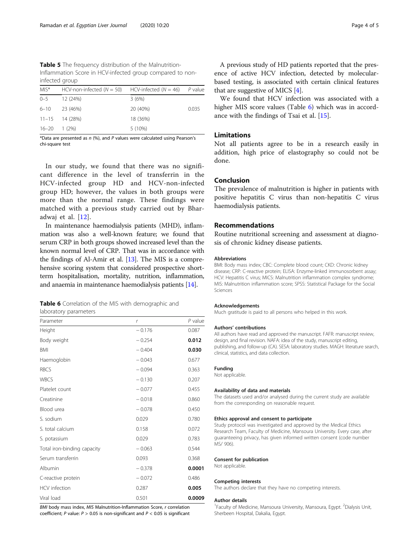<span id="page-3-0"></span>Table 5 The frequency distribution of the Malnutrition-Inflammation Score in HCV-infected group compared to noninfected group

| $MIS^*$ | HCV-non-infected ( $N = 50$ ) HCV-infected ( $N = 46$ ) P value |          |       |
|---------|-----------------------------------------------------------------|----------|-------|
| $0 - 5$ | 12 (24%)                                                        | 3(6%)    |       |
|         | $6 - 10$ 23 (46%)                                               | 20 (40%) | 0.035 |
|         | $11-15$ 14 (28%)                                                | 18 (36%) |       |
| 16–20   | $1(2\%)$                                                        | 5 (10%)  |       |

\*Data are presented as  $n$  (%), and  $P$  values were calculated using Pearson's chi-square test

In our study, we found that there was no significant difference in the level of transferrin in the HCV-infected group HD and HCV-non-infected group HD; however, the values in both groups were more than the normal range. These findings were matched with a previous study carried out by Bharadwaj et al. [[12\]](#page-4-0).

In maintenance haemodialysis patients (MHD), inflammation was also a well-known feature; we found that serum CRP in both groups showed increased level than the known normal level of CRP. That was in accordance with the findings of Al-Amir et al. [[13](#page-4-0)]. The MIS is a comprehensive scoring system that considered prospective shortterm hospitalisation, mortality, nutrition, inflammation, and anaemia in maintenance haemodialysis patients [[14](#page-4-0)].

|                       |  | <b>Table 6</b> Correlation of the MIS with demographic and |  |
|-----------------------|--|------------------------------------------------------------|--|
| laboratory parameters |  |                                                            |  |

| Parameter                   | r        | $P$ value |
|-----------------------------|----------|-----------|
| Height                      | $-0.176$ | 0.087     |
| Body weight                 | $-0.254$ | 0.012     |
| <b>BMI</b>                  | $-0.404$ | 0.030     |
| Haemoglobin                 | $-0.043$ | 0.677     |
| <b>RBCS</b>                 | $-0.094$ | 0.363     |
| <b>WBCS</b>                 | $-0.130$ | 0.207     |
| Platelet count              | $-0.077$ | 0.455     |
| Creatinine                  | $-0.018$ | 0.860     |
| Blood urea                  | $-0.078$ | 0.450     |
| S. sodium                   | 0.029    | 0.780     |
| S. total calcium            | 0.158    | 0.072     |
| S. potassium                | 0.029    | 0.783     |
| Total iron-binding capacity | $-0.063$ | 0.544     |
| Serum transferrin           | 0.093    | 0.368     |
| Albumin                     | $-0.378$ | 0.0001    |
| C-reactive protein          | $-0.072$ | 0.486     |
| <b>HCV</b> infection        | 0.287    | 0.005     |
| Viral load                  | 0.501    | 0.0009    |

BMI body mass index, MIS Malnutrition-Inflammation Score, r correlation coefficient; P value:  $P > 0.05$  is non-significant and  $P < 0.05$  is significant

A previous study of HD patients reported that the presence of active HCV infection, detected by molecularbased testing, is associated with certain clinical features that are suggestive of MICS  $[4]$  $[4]$ .

We found that HCV infection was associated with a higher MIS score values (Table 6) which was in accordance with the findings of Tsai et al. [\[15](#page-4-0)].

## Limitations

Not all patients agree to be in a research easily in addition, high price of elastography so could not be done.

## Conclusion

The prevalence of malnutrition is higher in patients with positive hepatitis C virus than non-hepatitis C virus haemodialysis patients.

#### Recommendations

Routine nutritional screening and assessment at diagnosis of chronic kidney disease patients.

#### Abbreviations

BMI: Body mass index; CBC: Complete blood count; CKD: Chronic kidney disease; CRP: C-reactive protein; ELISA: Enzyme-linked immunosorbent assay; HCV: Hepatitis C virus; MICS: Malnutrition inflammation complex syndrome; MIS: Malnutrition inflammation score; SPSS: Statistical Package for the Social Sciences

#### Acknowledgements

Much gratitude is paid to all persons who helped in this work.

#### Authors' contributions

All authors have read and approved the manuscript. FAFR: manuscript review, design, and final revision. NAFA: idea of the study, manuscript editing, publishing, and follow-up (CA). SESA: laboratory studies. MAGH: literature search, clinical, statistics, and data collection.

#### Funding

Not applicable.

#### Availability of data and materials

The datasets used and/or analysed during the current study are available from the corresponding on reasonable request.

#### Ethics approval and consent to participate

Study protocol was investigated and approved by the Medical Ethics Research Team, Faculty of Medicine, Mansoura University. Every case, after guaranteeing privacy, has given informed written consent (code number MS/ 906).

#### Consent for publication

Not applicable.

#### Competing interests

The authors declare that they have no competing interests.

#### Author details

<sup>1</sup> Faculty of Medicine, Mansoura University, Mansoura, Egypt. <sup>2</sup> Dialysis Unit Sherbeen Hospital, Dakalia, Egypt.